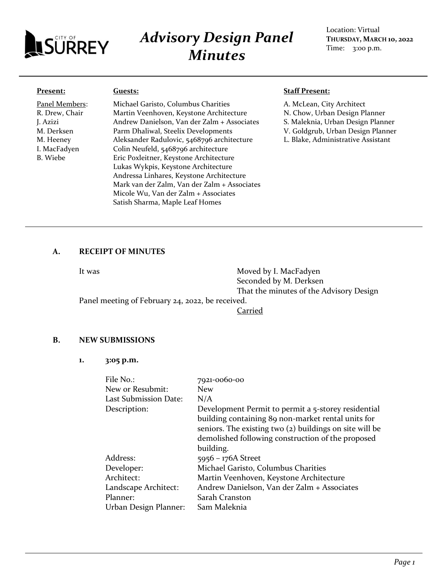

# *Advisory Design Panel Minutes*

Location: Virtual **THURSDAY, MARCH 10, 2022** Time: 3:00 p.m.

#### **Present:**

Panel Members: R. Drew, Chair J. Azizi M. Derksen M. Heeney I. MacFadyen B. Wiebe

# **Guests:**

Michael Garisto, Columbus Charities Martin Veenhoven, Keystone Architecture Andrew Danielson, Van der Zalm + Associates Parm Dhaliwal, Steelix Developments Aleksander Radulovic, 5468796 architecture Colin Neufeld, 5468796 architecture Eric Poxleitner, Keystone Architecture Lukas Wykpis, Keystone Architecture Andressa Linhares, Keystone Architecture Mark van der Zalm, Van der Zalm + Associates Micole Wu, Van der Zalm + Associates Satish Sharma, Maple Leaf Homes

#### **Staff Present:**

A. McLean, City Architect N. Chow, Urban Design Planner S. Maleknia, Urban Design Planner V. Goldgrub, Urban Design Planner L. Blake, Administrative Assistant

## **A. RECEIPT OF MINUTES**

It was Moved by I. MacFadyen Seconded by M. Derksen That the minutes of the Advisory Design

Panel meeting of February 24, 2022, be received.

**Carried** 

## **B. NEW SUBMISSIONS**

**1. 3:05 p.m.**

| File No.:             | 7921-0060-00                                              |
|-----------------------|-----------------------------------------------------------|
| New or Resubmit:      | <b>New</b>                                                |
| Last Submission Date: | N/A                                                       |
| Description:          | Development Permit to permit a 5-storey residential       |
|                       | building containing 89 non-market rental units for        |
|                       | seniors. The existing two $(2)$ buildings on site will be |
|                       | demolished following construction of the proposed         |
|                       | building.                                                 |
| Address:              | 5956 - 176A Street                                        |
| Developer:            | Michael Garisto, Columbus Charities                       |
| Architect:            | Martin Veenhoven, Keystone Architecture                   |
| Landscape Architect:  | Andrew Danielson, Van der Zalm + Associates               |
| Planner:              | Sarah Cranston                                            |
| Urban Design Planner: | Sam Maleknia                                              |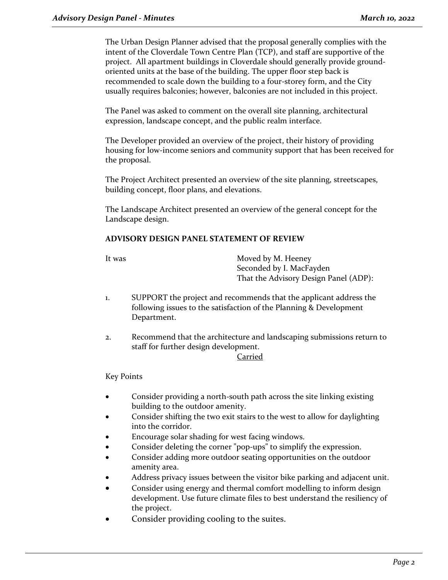The Urban Design Planner advised that the proposal generally complies with the intent of the Cloverdale Town Centre Plan (TCP), and staff are supportive of the project. All apartment buildings in Cloverdale should generally provide groundoriented units at the base of the building. The upper floor step back is recommended to scale down the building to a four-storey form, and the City usually requires balconies; however, balconies are not included in this project.

The Panel was asked to comment on the overall site planning, architectural expression, landscape concept, and the public realm interface.

The Developer provided an overview of the project, their history of providing housing for low-income seniors and community support that has been received for the proposal.

The Project Architect presented an overview of the site planning, streetscapes, building concept, floor plans, and elevations.

The Landscape Architect presented an overview of the general concept for the Landscape design.

# **ADVISORY DESIGN PANEL STATEMENT OF REVIEW**

It was Moved by M. Heeney Seconded by I. MacFayden That the Advisory Design Panel (ADP):

- 1. SUPPORT the project and recommends that the applicant address the following issues to the satisfaction of the Planning & Development Department.
- 2. Recommend that the architecture and landscaping submissions return to staff for further design development.

#### Carried

Key Points

- Consider providing a north-south path across the site linking existing building to the outdoor amenity.
- Consider shifting the two exit stairs to the west to allow for daylighting into the corridor.
- Encourage solar shading for west facing windows.
- Consider deleting the corner "pop-ups" to simplify the expression.
- Consider adding more outdoor seating opportunities on the outdoor amenity area.
- Address privacy issues between the visitor bike parking and adjacent unit.
- Consider using energy and thermal comfort modelling to inform design development. Use future climate files to best understand the resiliency of the project.
- Consider providing cooling to the suites.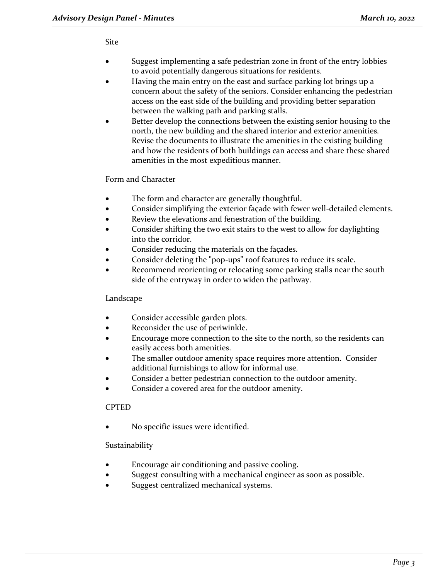# Site

- Suggest implementing a safe pedestrian zone in front of the entry lobbies to avoid potentially dangerous situations for residents.
- Having the main entry on the east and surface parking lot brings up a concern about the safety of the seniors. Consider enhancing the pedestrian access on the east side of the building and providing better separation between the walking path and parking stalls.
- Better develop the connections between the existing senior housing to the north, the new building and the shared interior and exterior amenities. Revise the documents to illustrate the amenities in the existing building and how the residents of both buildings can access and share these shared amenities in the most expeditious manner.

# Form and Character

- The form and character are generally thoughtful.
- Consider simplifying the exterior façade with fewer well-detailed elements.
- Review the elevations and fenestration of the building.
- Consider shifting the two exit stairs to the west to allow for daylighting into the corridor.
- Consider reducing the materials on the façades.
- Consider deleting the "pop-ups" roof features to reduce its scale.
- Recommend reorienting or relocating some parking stalls near the south side of the entryway in order to widen the pathway.

# Landscape

- Consider accessible garden plots.
- Reconsider the use of periwinkle.
- Encourage more connection to the site to the north, so the residents can easily access both amenities.
- The smaller outdoor amenity space requires more attention. Consider additional furnishings to allow for informal use.
- Consider a better pedestrian connection to the outdoor amenity.
- Consider a covered area for the outdoor amenity.

# **CPTED**

No specific issues were identified.

# Sustainability

- Encourage air conditioning and passive cooling.
- Suggest consulting with a mechanical engineer as soon as possible.
- Suggest centralized mechanical systems.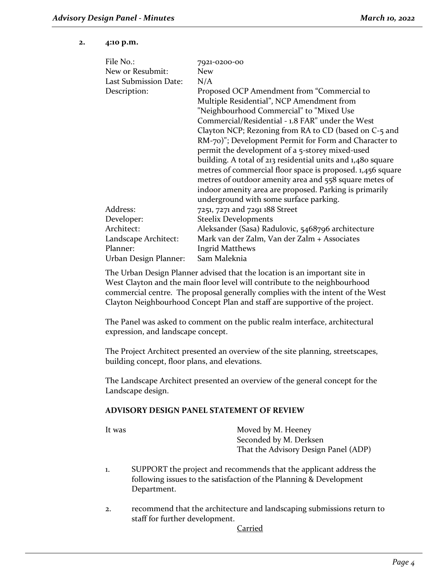#### **2. 4:10 p.m.**

| File No.:             | 7921-0200-00                                                |
|-----------------------|-------------------------------------------------------------|
| New or Resubmit:      | <b>New</b>                                                  |
| Last Submission Date: | N/A                                                         |
| Description:          | Proposed OCP Amendment from "Commercial to                  |
|                       | Multiple Residential", NCP Amendment from                   |
|                       | "Neighbourhood Commercial" to "Mixed Use                    |
|                       | Commercial/Residential - 1.8 FAR" under the West            |
|                       | Clayton NCP; Rezoning from RA to CD (based on C-5 and       |
|                       | RM-70)"; Development Permit for Form and Character to       |
|                       | permit the development of a 5-storey mixed-used             |
|                       | building. A total of 213 residential units and 1,480 square |
|                       | metres of commercial floor space is proposed. 1,456 square  |
|                       | metres of outdoor amenity area and 558 square metes of      |
|                       | indoor amenity area are proposed. Parking is primarily      |
|                       | underground with some surface parking.                      |
| Address:              | 7251, 7271 and 7291 188 Street                              |
| Developer:            | <b>Steelix Developments</b>                                 |
| Architect:            | Aleksander (Sasa) Radulovic, 5468796 architecture           |
| Landscape Architect:  | Mark van der Zalm, Van der Zalm + Associates                |
| Planner:              | <b>Ingrid Matthews</b>                                      |
| Urban Design Planner: | Sam Maleknia                                                |

The Urban Design Planner advised that the location is an important site in West Clayton and the main floor level will contribute to the neighbourhood commercial centre. The proposal generally complies with the intent of the West Clayton Neighbourhood Concept Plan and staff are supportive of the project.

The Panel was asked to comment on the public realm interface, architectural expression, and landscape concept.

The Project Architect presented an overview of the site planning, streetscapes, building concept, floor plans, and elevations.

The Landscape Architect presented an overview of the general concept for the Landscape design.

## **ADVISORY DESIGN PANEL STATEMENT OF REVIEW**

It was Moved by M. Heeney Seconded by M. Derksen That the Advisory Design Panel (ADP)

- 1. SUPPORT the project and recommends that the applicant address the following issues to the satisfaction of the Planning & Development Department.
- 2. recommend that the architecture and landscaping submissions return to staff for further development.

Carried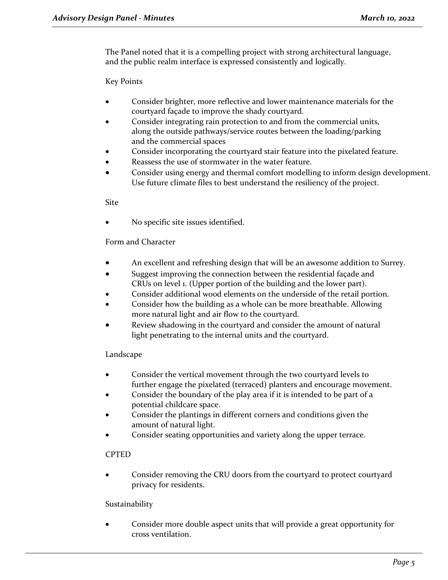The Panel noted that it is a compelling project with strong architectural language, and the public realm interface is expressed consistently and logically.

Key Points

- Consider brighter, more reflective and lower maintenance materials for the courtyard façade to improve the shady courtyard.
- Consider integrating rain protection to and from the commercial units, along the outside pathways/service routes between the loading/parking and the commercial spaces
- Consider incorporating the courtyard stair feature into the pixelated feature.
- Reassess the use of stormwater in the water feature.
- Consider using energy and thermal comfort modelling to inform design development. Use future climate files to best understand the resiliency of the project.

Site

• No specific site issues identified.

Form and Character

- An excellent and refreshing design that will be an awesome addition to Surrey.
- Suggest improving the connection between the residential façade and CRUs on level 1. (Upper portion of the building and the lower part).
- Consider additional wood elements on the underside of the retail portion.
- Consider how the building as a whole can be more breathable. Allowing more natural light and air flow to the courtyard.
- Review shadowing in the courtyard and consider the amount of natural light penetrating to the internal units and the courtyard.

# Landscape

- Consider the vertical movement through the two courtyard levels to further engage the pixelated (terraced) planters and encourage movement.
- Consider the boundary of the play area if it is intended to be part of a potential childcare space.
- Consider the plantings in different corners and conditions given the amount of natural light.
- Consider seating opportunities and variety along the upper terrace.

# CPTED

• Consider removing the CRU doors from the courtyard to protect courtyard privacy for residents.

# Sustainability

• Consider more double aspect units that will provide a great opportunity for cross ventilation.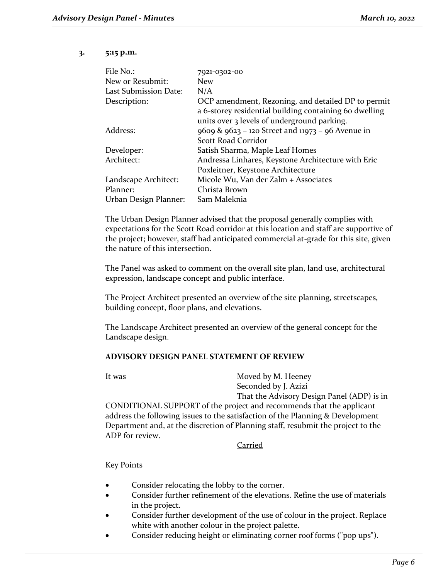# **3. 5:15 p.m.**

| File No.:             | 7921-0302-00                                           |
|-----------------------|--------------------------------------------------------|
| New or Resubmit:      | <b>New</b>                                             |
| Last Submission Date: | N/A                                                    |
| Description:          | OCP amendment, Rezoning, and detailed DP to permit     |
|                       | a 6-storey residential building containing 60 dwelling |
|                       | units over 3 levels of underground parking.            |
| Address:              | 9609 & 9623 - 120 Street and 11973 - 96 Avenue in      |
|                       | Scott Road Corridor                                    |
| Developer:            | Satish Sharma, Maple Leaf Homes                        |
| Architect:            | Andressa Linhares, Keystone Architecture with Eric     |
|                       | Poxleitner, Keystone Architecture                      |
| Landscape Architect:  | Micole Wu, Van der Zalm + Associates                   |
| Planner:              | Christa Brown                                          |
| Urban Design Planner: | Sam Maleknia                                           |

The Urban Design Planner advised that the proposal generally complies with expectations for the Scott Road corridor at this location and staff are supportive of the project; however, staff had anticipated commercial at-grade for this site, given the nature of this intersection.

The Panel was asked to comment on the overall site plan, land use, architectural expression, landscape concept and public interface.

The Project Architect presented an overview of the site planning, streetscapes, building concept, floor plans, and elevations.

The Landscape Architect presented an overview of the general concept for the Landscape design.

# **ADVISORY DESIGN PANEL STATEMENT OF REVIEW**

It was Moved by M. Heeney Seconded by J. Azizi That the Advisory Design Panel (ADP) is in

CONDITIONAL SUPPORT of the project and recommends that the applicant address the following issues to the satisfaction of the Planning & Development Department and, at the discretion of Planning staff, resubmit the project to the ADP for review.

**Carried** 

Key Points

- Consider relocating the lobby to the corner.
- Consider further refinement of the elevations. Refine the use of materials in the project.
- Consider further development of the use of colour in the project. Replace white with another colour in the project palette.
- Consider reducing height or eliminating corner roof forms ("pop ups").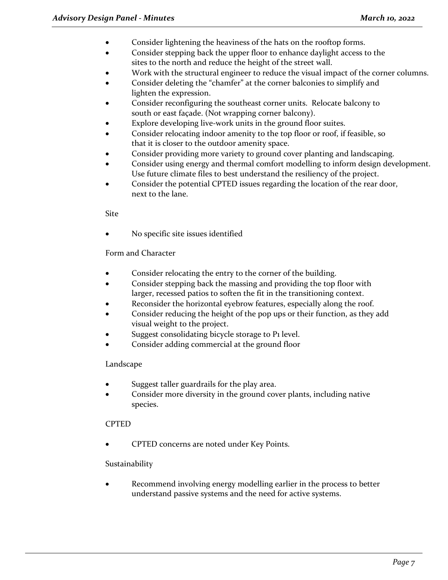- Consider lightening the heaviness of the hats on the rooftop forms.
- Consider stepping back the upper floor to enhance daylight access to the sites to the north and reduce the height of the street wall.
- Work with the structural engineer to reduce the visual impact of the corner columns.
- Consider deleting the "chamfer" at the corner balconies to simplify and lighten the expression.
- Consider reconfiguring the southeast corner units. Relocate balcony to south or east façade. (Not wrapping corner balcony).
- Explore developing live-work units in the ground floor suites.
- Consider relocating indoor amenity to the top floor or roof, if feasible, so that it is closer to the outdoor amenity space.
- Consider providing more variety to ground cover planting and landscaping.
- Consider using energy and thermal comfort modelling to inform design development. Use future climate files to best understand the resiliency of the project.
- Consider the potential CPTED issues regarding the location of the rear door, next to the lane.

Site

• No specific site issues identified

Form and Character

- Consider relocating the entry to the corner of the building.
- Consider stepping back the massing and providing the top floor with larger, recessed patios to soften the fit in the transitioning context.
- Reconsider the horizontal eyebrow features, especially along the roof.
- Consider reducing the height of the pop ups or their function, as they add visual weight to the project.
- Suggest consolidating bicycle storage to P1 level.
- Consider adding commercial at the ground floor

# Landscape

- Suggest taller guardrails for the play area.
- Consider more diversity in the ground cover plants, including native species.

# CPTED

• CPTED concerns are noted under Key Points.

# Sustainability

Recommend involving energy modelling earlier in the process to better understand passive systems and the need for active systems.